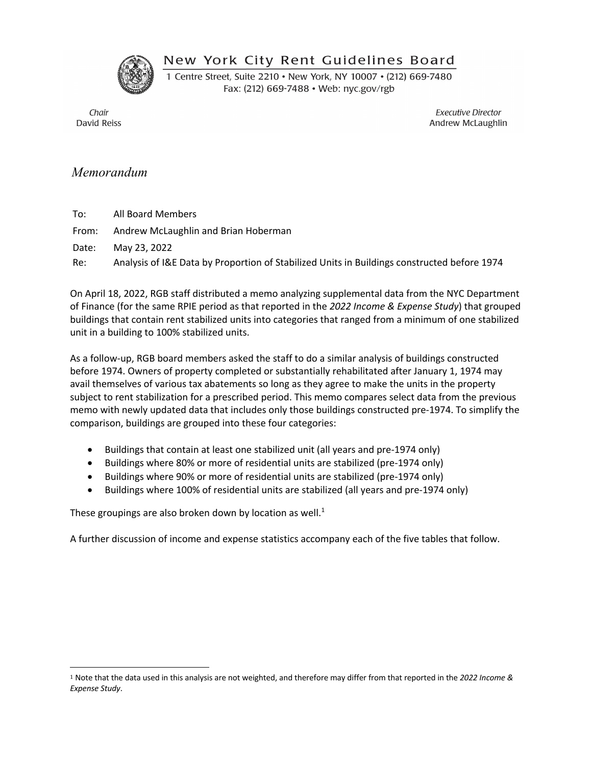New York City Rent Guidelines Board



1 Centre Street, Suite 2210 . New York, NY 10007 . (212) 669-7480 Fax: (212) 669-7488 • Web: nyc.gov/rgb

Chair David Reiss

**Executive Director** Andrew McLaughlin

# *Memorandum*

To: All Board Members

From: Andrew McLaughlin and Brian Hoberman

Date: May 23, 2022

Re: Analysis of I&E Data by Proportion of Stabilized Units in Buildings constructed before 1974

On April 18, 2022, RGB staff distributed a memo analyzing supplemental data from the NYC Department of Finance (for the same RPIE period as that reported in the *2022 Income & Expense Study*) that grouped buildings that contain rent stabilized units into categories that ranged from a minimum of one stabilized unit in a building to 100% stabilized units.

As a follow-up, RGB board members asked the staff to do a similar analysis of buildings constructed before 1974. Owners of property completed or substantially rehabilitated after January 1, 1974 may avail themselves of various tax abatements so long as they agree to make the units in the property subject to rent stabilization for a prescribed period. This memo compares select data from the previous memo with newly updated data that includes only those buildings constructed pre-1974. To simplify the comparison, buildings are grouped into these four categories:

- Buildings that contain at least one stabilized unit (all years and pre-1974 only)
- Buildings where 80% or more of residential units are stabilized (pre-1974 only)
- Buildings where 90% or more of residential units are stabilized (pre-1974 only)
- Buildings where 100% of residential units are stabilized (all years and pre-1974 only)

These groupings are also broken down by location as well.<sup>1</sup>

A further discussion of income and expense statistics accompany each of the five tables that follow.

<sup>1</sup> Note that the data used in this analysis are not weighted, and therefore may differ from that reported in the *2022 Income & Expense Study*.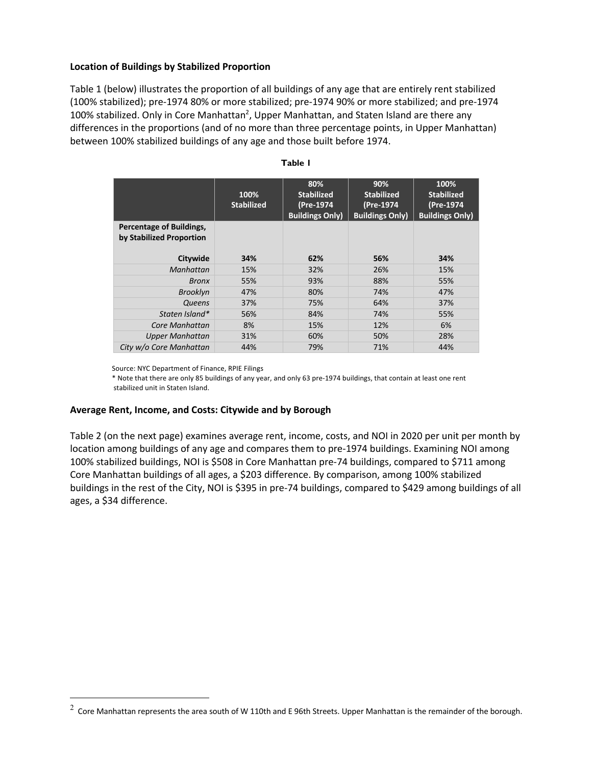### **Location of Buildings by Stabilized Proportion**

Table 1 (below) illustrates the proportion of all buildings of any age that are entirely rent stabilized (100% stabilized); pre-1974 80% or more stabilized; pre-1974 90% or more stabilized; and pre-1974 100% stabilized. Only in Core Manhattan<sup>2</sup>, Upper Manhattan, and Staten Island are there any differences in the proportions (and of no more than three percentage points, in Upper Manhattan) between 100% stabilized buildings of any age and those built before 1974.

|                                                      | 100%<br><b>Stabilized</b> | 80%<br><b>Stabilized</b><br>(Pre-1974<br><b>Buildings Only)</b> | 90%<br><b>Stabilized</b><br>(Pre-1974<br><b>Buildings Only)</b> | 100%<br><b>Stabilized</b><br>(Pre-1974<br><b>Buildings Only)</b> |
|------------------------------------------------------|---------------------------|-----------------------------------------------------------------|-----------------------------------------------------------------|------------------------------------------------------------------|
| Percentage of Buildings,<br>by Stabilized Proportion |                           |                                                                 |                                                                 |                                                                  |
| Citywide                                             | 34%                       | 62%                                                             | 56%                                                             | 34%                                                              |
| Manhattan                                            | 15%                       | 32%                                                             | 26%                                                             | 15%                                                              |
| <b>Bronx</b>                                         | 55%                       | 93%                                                             | 88%                                                             | 55%                                                              |
| <b>Brooklyn</b>                                      | 47%                       | 80%                                                             | 74%                                                             | 47%                                                              |
| Queens                                               | 37%                       | 75%                                                             | 64%                                                             | 37%                                                              |
| Staten Island*                                       | 56%                       | 84%                                                             | 74%                                                             | 55%                                                              |
| Core Manhattan                                       | 8%                        | 15%                                                             | 12%                                                             | 6%                                                               |
| <b>Upper Manhattan</b>                               | 31%                       | 60%                                                             | 50%                                                             | 28%                                                              |
| City w/o Core Manhattan                              | 44%                       | 79%                                                             | 71%                                                             | 44%                                                              |

#### **Table 1**

Source: NYC Department of Finance, RPIE Filings

 \* Note that there are only 85 buildings of any year, and only 63 pre-1974 buildings, that contain at least one rent stabilized unit in Staten Island.

### **Average Rent, Income, and Costs: Citywide and by Borough**

Table 2 (on the next page) examines average rent, income, costs, and NOI in 2020 per unit per month by location among buildings of any age and compares them to pre-1974 buildings. Examining NOI among 100% stabilized buildings, NOI is \$508 in Core Manhattan pre-74 buildings, compared to \$711 among Core Manhattan buildings of all ages, a \$203 difference. By comparison, among 100% stabilized buildings in the rest of the City, NOI is \$395 in pre-74 buildings, compared to \$429 among buildings of all ages, a \$34 difference.

 $2$  Core Manhattan represents the area south of W 110th and E 96th Streets. Upper Manhattan is the remainder of the borough.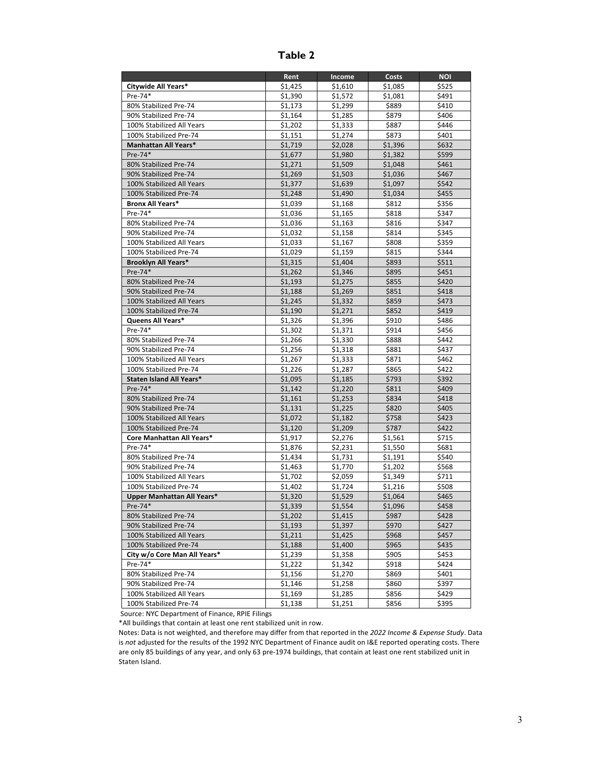|                              | Rent    | Income  | Costs   | <b>NOI</b> |
|------------------------------|---------|---------|---------|------------|
| Citywide All Years*          | \$1,425 | \$1,610 | \$1,085 | \$525      |
| Pre-74*                      | \$1,390 | \$1,572 | \$1,081 | \$491      |
| 80% Stabilized Pre-74        | \$1,173 | \$1,299 | \$889   | \$410      |
| 90% Stabilized Pre-74        | \$1,164 | \$1,285 | \$879   | \$406      |
| 100% Stabilized All Years    | \$1,202 | \$1,333 | \$887   | \$446      |
| 100% Stabilized Pre-74       | \$1,151 | \$1,274 | \$873   | \$401      |
| Manhattan All Years*         | \$1,719 | \$2,028 | \$1,396 | \$632      |
| Pre-74*                      | \$1,677 | \$1,980 | \$1,382 | \$599      |
| 80% Stabilized Pre-74        | \$1,271 | \$1,509 | \$1,048 | \$461      |
| 90% Stabilized Pre-74        | \$1,269 | \$1,503 | \$1,036 | \$467      |
| 100% Stabilized All Years    | \$1,377 | \$1,639 | \$1,097 | \$542      |
| 100% Stabilized Pre-74       | \$1,248 | \$1,490 | \$1,034 | \$455      |
| <b>Bronx All Years*</b>      | \$1,039 | \$1,168 | \$812   | \$356      |
| Pre-74*                      | \$1,036 | \$1,165 | \$818   | \$347      |
| 80% Stabilized Pre-74        | \$1,036 | \$1,163 | \$816   | \$347      |
| 90% Stabilized Pre-74        | \$1,032 | \$1,158 | \$814   | \$345      |
| 100% Stabilized All Years    | \$1,033 | \$1,167 | \$808   | \$359      |
| 100% Stabilized Pre-74       | \$1,029 | \$1,159 | \$815   | \$344      |
| <b>Brooklyn All Years*</b>   | \$1,315 | \$1,404 | \$893   | \$511      |
| Pre-74*                      | \$1,262 | \$1,346 | \$895   | \$451      |
| 80% Stabilized Pre-74        | \$1.193 | \$1,275 | \$855   | \$420      |
| 90% Stabilized Pre-74        | \$1,188 | \$1,269 | \$851   | \$418      |
| 100% Stabilized All Years    | \$1,245 | \$1,332 | \$859   | \$473      |
| 100% Stabilized Pre-74       | \$1,190 | \$1.271 | \$852   | \$419      |
| Queens All Years*            | \$1,326 | \$1,396 | \$910   | \$486      |
| Pre-74*                      | \$1,302 | \$1,371 | \$914   | \$456      |
| 80% Stabilized Pre-74        | \$1,266 | \$1,330 | \$888   | \$442      |
| 90% Stabilized Pre-74        | \$1,256 | \$1,318 | \$881   | \$437      |
| 100% Stabilized All Years    | \$1,267 | \$1,333 | \$871   | \$462      |
| 100% Stabilized Pre-74       | \$1,226 | \$1,287 | \$865   | \$422      |
| Staten Island All Years*     | \$1,095 | \$1,185 | \$793   | \$392      |
| Pre-74*                      | \$1,142 | \$1,220 | \$811   | \$409      |
| 80% Stabilized Pre-74        | \$1,161 | \$1,253 | \$834   | \$418      |
| 90% Stabilized Pre-74        | \$1,131 | \$1,225 | \$820   | \$405      |
| 100% Stabilized All Years    | \$1,072 | \$1,182 | \$758   | \$423      |
| 100% Stabilized Pre-74       | \$1,120 | \$1,209 | \$787   | \$422      |
| Core Manhattan All Years*    | \$1,917 | \$2,276 | \$1,561 | \$715      |
| Pre-74*                      | \$1,876 | \$2,231 | \$1,550 | \$681      |
| 80% Stabilized Pre-74        | \$1,434 | \$1,731 | \$1,191 | \$540      |
| 90% Stabilized Pre-74        | \$1,463 | \$1,770 | \$1,202 | \$568      |
| 100% Stabilized All Years    | \$1,702 | \$2,059 | \$1,349 | \$711      |
| 100% Stabilized Pre-74       | \$1,402 | \$1,724 | \$1,216 | \$508      |
| Upper Manhattan All Years*   | \$1,320 | \$1,529 | \$1,064 | \$465      |
| $Pre-74*$                    | \$1,339 | \$1,554 | \$1,096 | \$458      |
| 80% Stabilized Pre-74        | \$1,202 | \$1,415 | \$987   | \$428      |
| 90% Stabilized Pre-74        | \$1,193 | \$1,397 | \$970   | \$427      |
| 100% Stabilized All Years    | \$1,211 | \$1,425 | \$968   | \$457      |
| 100% Stabilized Pre-74       | \$1,188 | \$1,400 | \$965   | \$435      |
| City w/o Core Man All Years* | \$1,239 | \$1,358 | \$905   | \$453      |
| Pre-74*                      | \$1,222 | \$1,342 | \$918   | \$424      |
| 80% Stabilized Pre-74        | \$1,156 | \$1,270 | \$869   | \$401      |
| 90% Stabilized Pre-74        | \$1,146 | \$1,258 | \$860   | \$397      |
| 100% Stabilized All Years    | \$1,169 | \$1,285 | \$856   | \$429      |
| 100% Stabilized Pre-74       | \$1,138 | \$1,251 | \$856   | \$395      |

**Table 2**

Source: NYC Department of Finance, RPIE Filings

\*All buildings that contain at least one rent stabilized unit in row.

Notes: Data is not weighted, and therefore may differ from that reported in the *2022 Income & Expense Study*. Data is *not* adjusted for the results of the 1992 NYC Department of Finance audit on I&E reported operating costs. There are only 85 buildings of any year, and only 63 pre-1974 buildings, that contain at least one rent stabilized unit in Staten Island.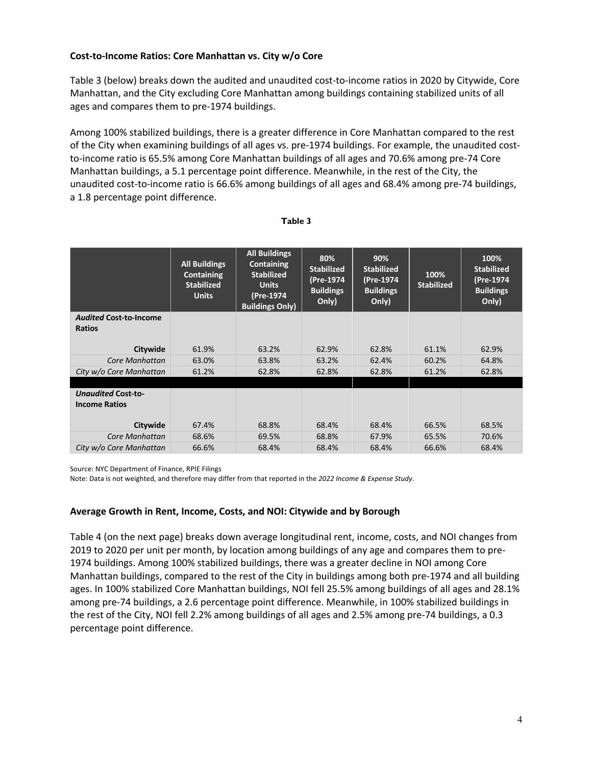# **Cost-to-Income Ratios: Core Manhattan vs. City w/o Core**

Table 3 (below) breaks down the audited and unaudited cost-to-income ratios in 2020 by Citywide, Core Manhattan, and the City excluding Core Manhattan among buildings containing stabilized units of all ages and compares them to pre-1974 buildings.

Among 100% stabilized buildings, there is a greater difference in Core Manhattan compared to the rest of the City when examining buildings of all ages vs. pre-1974 buildings. For example, the unaudited costto-income ratio is 65.5% among Core Manhattan buildings of all ages and 70.6% among pre-74 Core Manhattan buildings, a 5.1 percentage point difference. Meanwhile, in the rest of the City, the unaudited cost-to-income ratio is 66.6% among buildings of all ages and 68.4% among pre-74 buildings, a 1.8 percentage point difference.

|                                                   | <b>All Buildings</b><br>Containing<br><b>Stabilized</b><br><b>Units</b> | <b>All Buildings</b><br><b>Containing</b><br><b>Stabilized</b><br><b>Units</b><br>(Pre-1974<br><b>Buildings Only)</b> | 80%<br><b>Stabilized</b><br>(Pre-1974<br><b>Buildings</b><br>Only) | 90%<br><b>Stabilized</b><br>(Pre-1974<br><b>Buildings</b><br>Only) | 100%<br><b>Stabilized</b> | 100%<br><b>Stabilized</b><br>(Pre-1974<br><b>Buildings</b><br>Only) |
|---------------------------------------------------|-------------------------------------------------------------------------|-----------------------------------------------------------------------------------------------------------------------|--------------------------------------------------------------------|--------------------------------------------------------------------|---------------------------|---------------------------------------------------------------------|
| <b>Audited Cost-to-Income</b>                     |                                                                         |                                                                                                                       |                                                                    |                                                                    |                           |                                                                     |
| <b>Ratios</b>                                     |                                                                         |                                                                                                                       |                                                                    |                                                                    |                           |                                                                     |
| Citywide                                          | 61.9%                                                                   | 63.2%                                                                                                                 | 62.9%                                                              | 62.8%                                                              | 61.1%                     | 62.9%                                                               |
| Core Manhattan                                    | 63.0%                                                                   | 63.8%                                                                                                                 | 63.2%                                                              | 62.4%                                                              | 60.2%                     | 64.8%                                                               |
| City w/o Core Manhattan                           | 61.2%                                                                   | 62.8%                                                                                                                 | 62.8%                                                              | 62.8%                                                              | 61.2%                     | 62.8%                                                               |
|                                                   |                                                                         |                                                                                                                       |                                                                    |                                                                    |                           |                                                                     |
| <b>Unaudited Cost-to-</b><br><b>Income Ratios</b> |                                                                         |                                                                                                                       |                                                                    |                                                                    |                           |                                                                     |
| Citywide                                          | 67.4%                                                                   | 68.8%                                                                                                                 | 68.4%                                                              | 68.4%                                                              | 66.5%                     | 68.5%                                                               |
| Core Manhattan                                    | 68.6%                                                                   | 69.5%                                                                                                                 | 68.8%                                                              | 67.9%                                                              | 65.5%                     | 70.6%                                                               |
| City w/o Core Manhattan                           | 66.6%                                                                   | 68.4%                                                                                                                 | 68.4%                                                              | 68.4%                                                              | 66.6%                     | 68.4%                                                               |

### **Table 3**

Source: NYC Department of Finance, RPIE Filings

Note: Data is not weighted, and therefore may differ from that reported in the *2022 Income & Expense Study*.

### **Average Growth in Rent, Income, Costs, and NOI: Citywide and by Borough**

Table 4 (on the next page) breaks down average longitudinal rent, income, costs, and NOI changes from 2019 to 2020 per unit per month, by location among buildings of any age and compares them to pre-1974 buildings. Among 100% stabilized buildings, there was a greater decline in NOI among Core Manhattan buildings, compared to the rest of the City in buildings among both pre-1974 and all building ages. In 100% stabilized Core Manhattan buildings, NOI fell 25.5% among buildings of all ages and 28.1% among pre-74 buildings, a 2.6 percentage point difference. Meanwhile, in 100% stabilized buildings in the rest of the City, NOI fell 2.2% among buildings of all ages and 2.5% among pre-74 buildings, a 0.3 percentage point difference.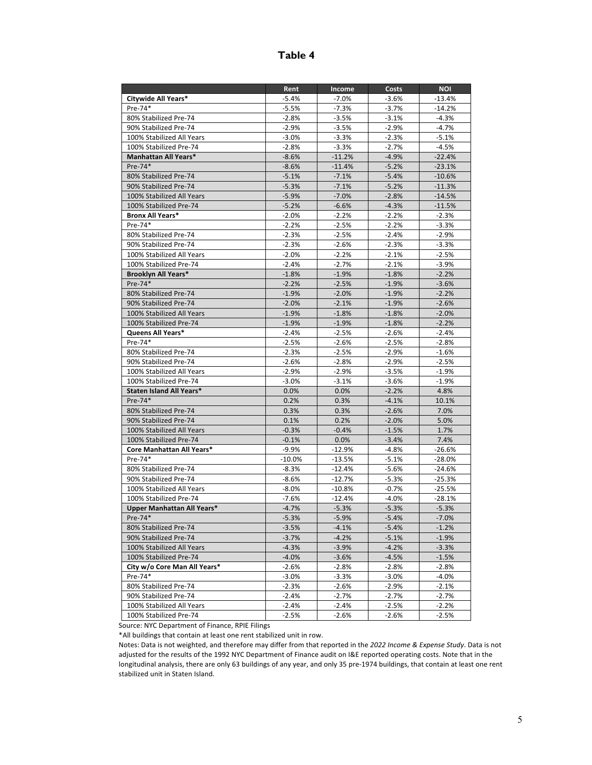# **Table 4**

|                              | Rent     | Income   | Costs   | <b>NOI</b> |
|------------------------------|----------|----------|---------|------------|
| Citywide All Years*          | $-5.4%$  | $-7.0%$  | $-3.6%$ | $-13.4%$   |
| Pre-74*                      | $-5.5%$  | $-7.3%$  | $-3.7%$ | $-14.2%$   |
| 80% Stabilized Pre-74        | $-2.8%$  | $-3.5%$  | $-3.1%$ | $-4.3%$    |
| 90% Stabilized Pre-74        | $-2.9%$  | $-3.5%$  | $-2.9%$ | $-4.7%$    |
| 100% Stabilized All Years    | $-3.0%$  | $-3.3%$  | $-2.3%$ | $-5.1%$    |
| 100% Stabilized Pre-74       | $-2.8%$  | $-3.3%$  | $-2.7%$ | $-4.5%$    |
| <b>Manhattan All Years*</b>  | $-8.6%$  | $-11.2%$ | $-4.9%$ | $-22.4%$   |
| Pre-74*                      | $-8.6%$  | $-11.4%$ | $-5.2%$ | $-23.1%$   |
| 80% Stabilized Pre-74        | $-5.1%$  | $-7.1%$  | $-5.4%$ | $-10.6%$   |
| 90% Stabilized Pre-74        | $-5.3%$  | $-7.1%$  | $-5.2%$ | $-11.3%$   |
| 100% Stabilized All Years    | $-5.9%$  | $-7.0%$  | $-2.8%$ | $-14.5%$   |
| 100% Stabilized Pre-74       | $-5.2%$  | $-6.6%$  | $-4.3%$ | $-11.5%$   |
| <b>Bronx All Years*</b>      | $-2.0%$  | $-2.2%$  | $-2.2%$ | $-2.3%$    |
| Pre-74*                      | $-2.2%$  | $-2.5%$  | $-2.2%$ | $-3.3%$    |
| 80% Stabilized Pre-74        | $-2.3%$  | $-2.5%$  | $-2.4%$ | $-2.9%$    |
| 90% Stabilized Pre-74        | $-2.3%$  | $-2.6%$  | $-2.3%$ | $-3.3%$    |
| 100% Stabilized All Years    | $-2.0%$  | $-2.2%$  | $-2.1%$ | $-2.5%$    |
| 100% Stabilized Pre-74       | $-2.4%$  | $-2.7%$  | $-2.1%$ | $-3.9%$    |
| Brooklyn All Years*          | $-1.8%$  | $-1.9%$  | $-1.8%$ | $-2.2%$    |
| Pre-74*                      | $-2.2%$  | $-2.5%$  | $-1.9%$ | $-3.6%$    |
| 80% Stabilized Pre-74        | $-1.9%$  | $-2.0%$  | $-1.9%$ | $-2.2%$    |
| 90% Stabilized Pre-74        | $-2.0%$  | $-2.1%$  | $-1.9%$ | $-2.6%$    |
| 100% Stabilized All Years    | $-1.9%$  | $-1.8%$  | $-1.8%$ | $-2.0%$    |
| 100% Stabilized Pre-74       | $-1.9%$  | $-1.9%$  | $-1.8%$ | $-2.2%$    |
| Queens All Years*            | $-2.4%$  | $-2.5%$  | $-2.6%$ | $-2.4%$    |
| Pre-74*                      | $-2.5%$  | $-2.6%$  | $-2.5%$ | $-2.8%$    |
| 80% Stabilized Pre-74        | $-2.3%$  | $-2.5%$  | $-2.9%$ | $-1.6%$    |
| 90% Stabilized Pre-74        | $-2.6%$  | $-2.8%$  | $-2.9%$ | $-2.5%$    |
| 100% Stabilized All Years    | $-2.9%$  | $-2.9%$  | $-3.5%$ | $-1.9%$    |
| 100% Stabilized Pre-74       | $-3.0%$  | $-3.1%$  | $-3.6%$ | $-1.9%$    |
| Staten Island All Years*     | 0.0%     | 0.0%     | $-2.2%$ | 4.8%       |
| $Pre-74*$                    | 0.2%     | 0.3%     | $-4.1%$ | 10.1%      |
| 80% Stabilized Pre-74        | 0.3%     | 0.3%     | $-2.6%$ | 7.0%       |
| 90% Stabilized Pre-74        | 0.1%     | 0.2%     | $-2.0%$ | 5.0%       |
| 100% Stabilized All Years    | $-0.3%$  | $-0.4%$  | $-1.5%$ | 1.7%       |
| 100% Stabilized Pre-74       | $-0.1%$  | 0.0%     | $-3.4%$ | 7.4%       |
| Core Manhattan All Years*    | $-9.9%$  | $-12.9%$ | $-4.8%$ | $-26.6%$   |
| Pre-74*                      | $-10.0%$ | $-13.5%$ | $-5.1%$ | $-28.0%$   |
| 80% Stabilized Pre-74        | $-8.3%$  | $-12.4%$ | $-5.6%$ | $-24.6%$   |
| 90% Stabilized Pre-74        | $-8.6%$  | $-12.7%$ | $-5.3%$ | $-25.3%$   |
| 100% Stabilized All Years    | $-8.0%$  | $-10.8%$ | $-0.7%$ | $-25.5%$   |
| 100% Stabilized Pre-74       | $-7.6%$  | $-12.4%$ | $-4.0%$ | $-28.1%$   |
| Upper Manhattan All Years*   | $-4.7%$  | $-5.3%$  | $-5.3%$ | $-5.3%$    |
| $Pre-74*$                    | $-5.3%$  | $-5.9%$  | $-5.4%$ | $-7.0%$    |
| 80% Stabilized Pre-74        | $-3.5%$  | $-4.1%$  | $-5.4%$ | $-1.2%$    |
| 90% Stabilized Pre-74        | $-3.7%$  | $-4.2%$  | $-5.1%$ | $-1.9%$    |
| 100% Stabilized All Years    | $-4.3%$  | $-3.9%$  | $-4.2%$ | $-3.3%$    |
| 100% Stabilized Pre-74       | $-4.0%$  | $-3.6%$  | $-4.5%$ | $-1.5%$    |
| City w/o Core Man All Years* | $-2.6%$  | $-2.8%$  | $-2.8%$ | $-2.8%$    |
| Pre-74*                      | $-3.0\%$ | $-3.3%$  | $-3.0%$ | $-4.0%$    |
| 80% Stabilized Pre-74        | $-2.3%$  | $-2.6%$  | $-2.9%$ | $-2.1%$    |
| 90% Stabilized Pre-74        | $-2.4%$  | $-2.7%$  | $-2.7%$ | $-2.7%$    |
| 100% Stabilized All Years    | $-2.4%$  | $-2.4%$  | $-2.5%$ | $-2.2%$    |
| 100% Stabilized Pre-74       | $-2.5%$  | $-2.6%$  | $-2.6%$ | $-2.5%$    |

Source: NYC Department of Finance, RPIE Filings

\*All buildings that contain at least one rent stabilized unit in row.

Notes: Data is not weighted, and therefore may differ from that reported in the *2022 Income & Expense Study*. Data is not adjusted for the results of the 1992 NYC Department of Finance audit on I&E reported operating costs. Note that in the longitudinal analysis, there are only 63 buildings of any year, and only 35 pre-1974 buildings, that contain at least one rent stabilized unit in Staten Island.